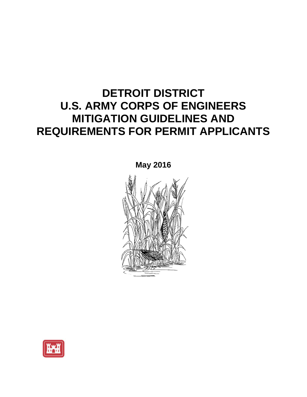# **DETROIT DISTRICT U.S. ARMY CORPS OF ENGINEERS MITIGATION GUIDELINES AND REQUIREMENTS FOR PERMIT APPLICANTS**



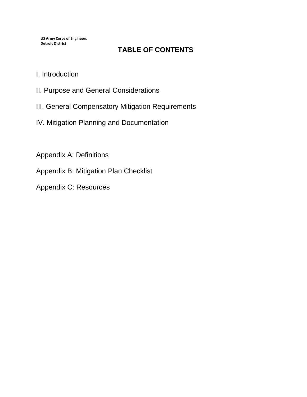**US Army Corps of Engineers Detroit District**

# **TABLE OF CONTENTS**

- I. Introduction
- II. Purpose and General Considerations
- III. General Compensatory Mitigation Requirements
- IV. Mitigation Planning and Documentation

Appendix A: Definitions

Appendix B: Mitigation Plan Checklist

Appendix C: Resources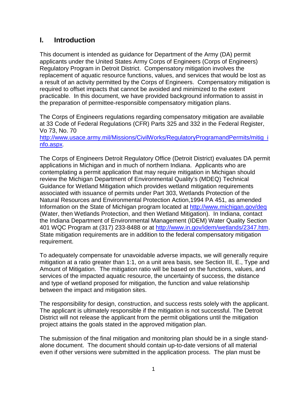### **I. Introduction**

This document is intended as guidance for Department of the Army (DA) permit applicants under the United States Army Corps of Engineers (Corps of Engineers) Regulatory Program in Detroit District. Compensatory mitigation involves the replacement of aquatic resource functions, values, and services that would be lost as a result of an activity permitted by the Corps of Engineers. Compensatory mitigation is required to offset impacts that cannot be avoided and minimized to the extent practicable. In this document, we have provided background information to assist in the preparation of permittee-responsible compensatory mitigation plans.

The Corps of Engineers regulations regarding compensatory mitigation are available at 33 Code of Federal Regulations (CFR) Parts 325 and 332 in the Federal Register, Vo 73, No. 70

[http://www.usace.army.mil/Missions/CivilWorks/RegulatoryProgramandPermits/mitig\\_i](http://www.usace.army.mil/Missions/CivilWorks/RegulatoryProgramandPermits/mitig_info.aspx) [nfo.aspx](http://www.usace.army.mil/Missions/CivilWorks/RegulatoryProgramandPermits/mitig_info.aspx).

The Corps of Engineers Detroit Regulatory Office (Detroit District) evaluates DA permit applications in Michigan and in much of northern Indiana. Applicants who are contemplating a permit application that may require mitigation in Michigan should review the Michigan Department of Environmental Quality's (MDEQ) Technical Guidance for Wetland Mitigation which provides wetland mitigation requirements associated with issuance of permits under Part 303, Wetlands Protection of the Natural Resources and Environmental Protection Action,1994 PA 451, as amended Information on the State of Michigan program located at<http://www.michigan.gov/deq> (Water, then Wetlands Protection, and then Wetland Mitigation). In Indiana, contact the Indiana Department of Environmental Management (IDEM) Water Quality Section 401 WQC Program at (317) 233-8488 or at [http://www.in.gov/idem/wetlands/2347.htm.](http://www.in.gov/idem/wetlands/2347.htm) State mitigation requirements are in addition to the federal compensatory mitigation requirement.

To adequately compensate for unavoidable adverse impacts, we will generally require mitigation at a ratio greater than 1:1, on a unit area basis, see Section III, E., Type and Amount of Mitigation. The mitigation ratio will be based on the functions, values, and services of the impacted aquatic resource, the uncertainty of success, the distance and type of wetland proposed for mitigation, the function and value relationship between the impact and mitigation sites.

The responsibility for design, construction, and success rests solely with the applicant. The applicant is ultimately responsible if the mitigation is not successful. The Detroit District will not release the applicant from the permit obligations until the mitigation project attains the goals stated in the approved mitigation plan.

The submission of the final mitigation and monitoring plan should be in a single standalone document. The document should contain up-to-date versions of all material even if other versions were submitted in the application process. The plan must be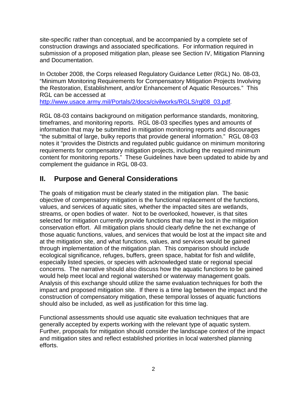site-specific rather than conceptual, and be accompanied by a complete set of construction drawings and associated specifications. For information required in submission of a proposed mitigation plan, please see Section IV, Mitigation Planning and Documentation.

In October 2008, the Corps released Regulatory Guidance Letter (RGL) No. 08-03, "Minimum Monitoring Requirements for Compensatory Mitigation Projects Involving the Restoration, Establishment, and/or Enhancement of Aquatic Resources." This RGL can be accessed at

[http://www.usace.army.mil/Portals/2/docs/civilworks/RGLS/rgl08\\_03.pdf](http://www.usace.army.mil/Portals/2/docs/civilworks/RGLS/rgl08_03.pdf).

RGL 08-03 contains background on mitigation performance standards, monitoring, timeframes, and monitoring reports. RGL 08-03 specifies types and amounts of information that may be submitted in mitigation monitoring reports and discourages "the submittal of large, bulky reports that provide general information." RGL 08-03 notes it "provides the Districts and regulated public guidance on minimum monitoring requirements for compensatory mitigation projects, including the required minimum content for monitoring reports." These Guidelines have been updated to abide by and complement the guidance in RGL 08-03.

# **II. Purpose and General Considerations**

The goals of mitigation must be clearly stated in the mitigation plan. The basic objective of compensatory mitigation is the functional replacement of the functions, values, and services of aquatic sites, whether the impacted sites are wetlands, streams, or open bodies of water. Not to be overlooked, however, is that sites selected for mitigation currently provide functions that may be lost in the mitigation conservation effort. All mitigation plans should clearly define the net exchange of those aquatic functions, values, and services that would be lost at the impact site and at the mitigation site, and what functions, values, and services would be gained through implementation of the mitigation plan. This comparison should include ecological significance, refuges, buffers, green space, habitat for fish and wildlife, especially listed species, or species with acknowledged state or regional special concerns. The narrative should also discuss how the aquatic functions to be gained would help meet local and regional watershed or waterway management goals. Analysis of this exchange should utilize the same evaluation techniques for both the impact and proposed mitigation site. If there is a time lag between the impact and the construction of compensatory mitigation, these temporal losses of aquatic functions should also be included, as well as justification for this time lag.

Functional assessments should use aquatic site evaluation techniques that are generally accepted by experts working with the relevant type of aquatic system. Further, proposals for mitigation should consider the landscape context of the impact and mitigation sites and reflect established priorities in local watershed planning efforts.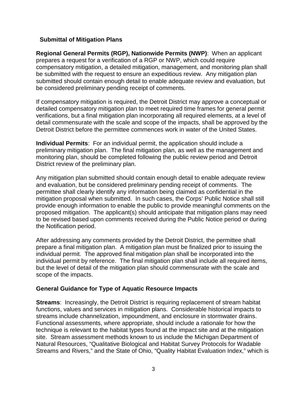#### **Submittal of Mitigation Plans**

**Regional General Permits (RGP), Nationwide Permits (NWP)**: When an applicant prepares a request for a verification of a RGP or NWP, which could require compensatory mitigation, a detailed mitigation, management, and monitoring plan shall be submitted with the request to ensure an expeditious review. Any mitigation plan submitted should contain enough detail to enable adequate review and evaluation, but be considered preliminary pending receipt of comments.

If compensatory mitigation is required, the Detroit District may approve a conceptual or detailed compensatory mitigation plan to meet required time frames for general permit verifications, but a final mitigation plan incorporating all required elements, at a level of detail commensurate with the scale and scope of the impacts, shall be approved by the Detroit District before the permittee commences work in water of the United States.

**Individual Permits**: For an individual permit, the application should include a preliminary mitigation plan. The final mitigation plan, as well as the management and monitoring plan, should be completed following the public review period and Detroit District review of the preliminary plan.

Any mitigation plan submitted should contain enough detail to enable adequate review and evaluation, but be considered preliminary pending receipt of comments. The permittee shall clearly identify any information being claimed as confidential in the mitigation proposal when submitted. In such cases, the Corps' Public Notice shall still provide enough information to enable the public to provide meaningful comments on the proposed mitigation. The applicant(s) should anticipate that mitigation plans may need to be revised based upon comments received during the Public Notice period or during the Notification period.

After addressing any comments provided by the Detroit District, the permittee shall prepare a final mitigation plan. A mitigation plan must be finalized prior to issuing the individual permit. The approved final mitigation plan shall be incorporated into the individual permit by reference. The final mitigation plan shall include all required items, but the level of detail of the mitigation plan should commensurate with the scale and scope of the impacts.

#### **General Guidance for Type of Aquatic Resource Impacts**

**Streams**: Increasingly, the Detroit District is requiring replacement of stream habitat functions, values and services in mitigation plans. Considerable historical impacts to streams include channelization, impoundment, and enclosure in stormwater drains. Functional assessments, where appropriate, should include a rationale for how the technique is relevant to the habitat types found at the impact site and at the mitigation site. Stream assessment methods known to us include the Michigan Department of Natural Resources, "Qualitative Biological and Habitat Survey Protocols for Wadable Streams and Rivers," and the State of Ohio, "Quality Habitat Evaluation Index," which is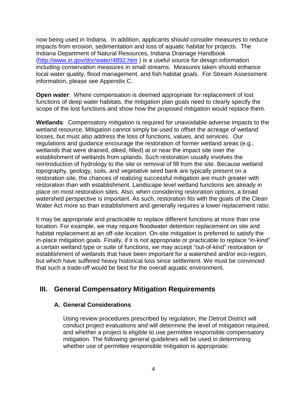now being used in Indiana. In addition, applicants should consider measures to reduce impacts from erosion, sedimentation and loss of aquatic habitat for projects. The Indiana Department of Natural Resources, Indiana Drainage Handbook [\(http://www.in.gov/dnr/water/4892.htm](http://www.in.gov/dnr/water/4892.htm) ) is a useful source for design information including conservation measures in small streams. Measures taken should enhance local water quality, flood management, and fish habitat goals. For Stream Assessment information, please see Appendix C.

**Open water**: Where compensation is deemed appropriate for replacement of lost functions of deep water habitats, the mitigation plan goals need to clearly specify the scope of the lost functions and show how the proposed mitigation would replace them.

**Wetlands**: Compensatory mitigation is required for unavoidable adverse impacts to the wetland resource. Mitigation cannot simply be used to offset the acreage of wetland losses, but must also address the loss of functions, values, and services. Our regulations and guidance encourage the restoration of former wetland areas (e.g., wetlands that were drained, diked, filled) at or near the impact site over the establishment of wetlands from uplands. Such restoration usually involves the reintroduction of hydrology to the site or removal of fill from the site. Because wetland topography, geology, soils, and vegetative seed bank are typically present on a restoration site, the chances of realizing successful mitigation are much greater with restoration than with establishment. Landscape level wetland functions are already in place on most restoration sites. Also, when considering restoration options, a broad watershed perspective is important. As such, restoration fits with the goals of the Clean Water Act more so than establishment and generally requires a lower replacement ratio.

It may be appropriate and practicable to replace different functions at more than one location. For example, we may require floodwater detention replacement on site and habitat replacement at an off-site location. On-site mitigation is preferred to satisfy the in-place mitigation goals. Finally, if it is not appropriate or practicable to replace "in-kind" a certain wetland type or suite of functions, we may accept "out-of-kind" restoration or establishment of wetlands that have been important for a watershed and/or eco-region, but which have suffered heavy historical loss since settlement. We must be convinced that such a trade-off would be best for the overall aquatic environment.

## **III. General Compensatory Mitigation Requirements**

#### **A. General Considerations**

Using review procedures prescribed by regulation, the Detroit District will conduct project evaluations and will determine the level of mitigation required, and whether a project is eligible to use permittee responsible compensatory mitigation. The following general guidelines will be used in determining whether use of permittee responsible mitigation is appropriate: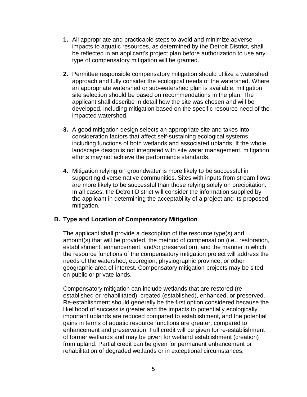- **1.** All appropriate and practicable steps to avoid and minimize adverse impacts to aquatic resources, as determined by the Detroit District, shall be reflected in an applicant's project plan before authorization to use any type of compensatory mitigation will be granted.
- **2.** Permittee responsible compensatory mitigation should utilize a watershed approach and fully consider the ecological needs of the watershed. Where an appropriate watershed or sub-watershed plan is available, mitigation site selection should be based on recommendations in the plan. The applicant shall describe in detail how the site was chosen and will be developed, including mitigation based on the specific resource need of the impacted watershed.
- **3.** A good mitigation design selects an appropriate site and takes into consideration factors that affect self-sustaining ecological systems, including functions of both wetlands and associated uplands. If the whole landscape design is not integrated with site water management, mitigation efforts may not achieve the performance standards.
- **4.** Mitigation relying on groundwater is more likely to be successful in supporting diverse native communities. Sites with inputs from stream flows are more likely to be successful than those relying solely on precipitation. In all cases, the Detroit District will consider the information supplied by the applicant in determining the acceptability of a project and its proposed mitigation.

#### **B. Type and Location of Compensatory Mitigation**

The applicant shall provide a description of the resource type(s) and amount(s) that will be provided, the method of compensation (i.e., restoration, establishment, enhancement, and/or preservation), and the manner in which the resource functions of the compensatory mitigation project will address the needs of the watershed, ecoregion, physiographic province, or other geographic area of interest. Compensatory mitigation projects may be sited on public or private lands.

Compensatory mitigation can include wetlands that are restored (reestablished or rehabilitated), created (established), enhanced, or preserved. Re-establishment should generally be the first option considered because the likelihood of success is greater and the impacts to potentially ecologically important uplands are reduced compared to establishment, and the potential gains in terms of aquatic resource functions are greater, compared to enhancement and preservation. Full credit will be given for re-establishment of former wetlands and may be given for wetland establishment (creation) from upland. Partial credit can be given for permanent enhancement or rehabilitation of degraded wetlands or in exceptional circumstances,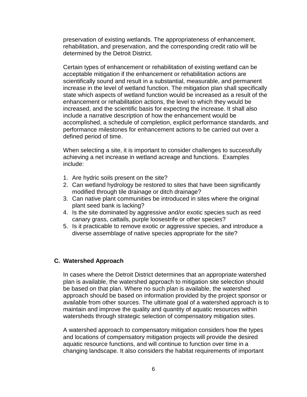preservation of existing wetlands. The appropriateness of enhancement, rehabilitation, and preservation, and the corresponding credit ratio will be determined by the Detroit District.

Certain types of enhancement or rehabilitation of existing wetland can be acceptable mitigation if the enhancement or rehabilitation actions are scientifically sound and result in a substantial, measurable, and permanent increase in the level of wetland function. The mitigation plan shall specifically state which aspects of wetland function would be increased as a result of the enhancement or rehabilitation actions, the level to which they would be increased, and the scientific basis for expecting the increase. It shall also include a narrative description of how the enhancement would be accomplished, a schedule of completion, explicit performance standards, and performance milestones for enhancement actions to be carried out over a defined period of time.

When selecting a site, it is important to consider challenges to successfully achieving a net increase in wetland acreage and functions. Examples include:

- 1. Are hydric soils present on the site?
- 2. Can wetland hydrology be restored to sites that have been significantly modified through tile drainage or ditch drainage?
- 3. Can native plant communities be introduced in sites where the original plant seed bank is lacking?
- 4. Is the site dominated by aggressive and/or exotic species such as reed canary grass, cattails, purple loosestrife or other species?
- 5. Is it practicable to remove exotic or aggressive species, and introduce a diverse assemblage of native species appropriate for the site?

#### **C. Watershed Approach**

In cases where the Detroit District determines that an appropriate watershed plan is available, the watershed approach to mitigation site selection should be based on that plan. Where no such plan is available, the watershed approach should be based on information provided by the project sponsor or available from other sources. The ultimate goal of a watershed approach is to maintain and improve the quality and quantity of aquatic resources within watersheds through strategic selection of compensatory mitigation sites.

A watershed approach to compensatory mitigation considers how the types and locations of compensatory mitigation projects will provide the desired aquatic resource functions, and will continue to function over time in a changing landscape. It also considers the habitat requirements of important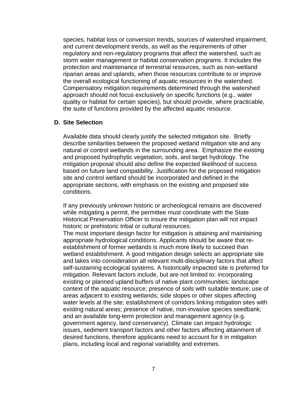species, habitat loss or conversion trends, sources of watershed impairment, and current development trends, as well as the requirements of other regulatory and non-regulatory programs that affect the watershed, such as storm water management or habitat conservation programs. It includes the protection and maintenance of terrestrial resources, such as non-wetland riparian areas and uplands, when those resources contribute to or improve the overall ecological functioning of aquatic resources in the watershed. Compensatory mitigation requirements determined through the watershed approach should not focus exclusively on specific functions (e.g., water quality or habitat for certain species), but should provide, where practicable, the suite of functions provided by the affected aquatic resource.

#### **D. Site Selection**

Available data should clearly justify the selected mitigation site. Briefly describe similarities between the proposed wetland mitigation site and any natural or control wetlands in the surrounding area. Emphasize the existing and proposed hydrophytic vegetation, soils, and target hydrology. The mitigation proposal should also define the expected likelihood of success based on future land compatibility. Justification for the proposed mitigation site and control wetland should be incorporated and defined in the appropriate sections, with emphasis on the existing and proposed site conditions.

If any previously unknown historic or archeological remains are discovered while mitigating a permit, the permittee must coordinate with the State Historical Preservation Officer to insure the mitigation plan will not impact historic or prehistoric tribal or cultural resources.

The most important design factor for mitigation is attaining and maintaining appropriate hydrological conditions. Applicants should be aware that reestablishment of former wetlands is much more likely to succeed than wetland establishment. A good mitigation design selects an appropriate site and takes into consideration all relevant multi-disciplinary factors that affect self-sustaining ecological systems. A historically impacted site is preferred for mitigation. Relevant factors include, but are not limited to: incorporating existing or planned upland buffers of native plant communities; landscape context of the aquatic resource; presence of soils with suitable texture; use of areas adjacent to existing wetlands; side slopes or other slopes affecting water levels at the site; establishment of corridors linking mitigation sites with existing natural areas; presence of native, non-invasive species seedbank; and an available long-term protection and management agency (e.g. government agency, land conservancy). Climate can impact hydrologic issues, sediment transport factors and other factors affecting attainment of desired functions, therefore applicants need to account for it in mitigation plans, including local and regional variability and extremes.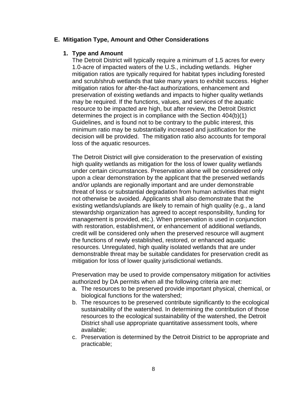#### **E. Mitigation Type, Amount and Other Considerations**

#### **1. Type and Amount**

The Detroit District will typically require a minimum of 1.5 acres for every 1.0-acre of impacted waters of the U.S., including wetlands. Higher mitigation ratios are typically required for habitat types including forested and scrub/shrub wetlands that take many years to exhibit success. Higher mitigation ratios for after-the-fact authorizations, enhancement and preservation of existing wetlands and impacts to higher quality wetlands may be required. If the functions, values, and services of the aquatic resource to be impacted are high, but after review, the Detroit District determines the project is in compliance with the Section 404(b)(1) Guidelines, and is found not to be contrary to the public interest, this minimum ratio may be substantially increased and justification for the decision will be provided. The mitigation ratio also accounts for temporal loss of the aquatic resources.

The Detroit District will give consideration to the preservation of existing high quality wetlands as mitigation for the loss of lower quality wetlands under certain circumstances. Preservation alone will be considered only upon a clear demonstration by the applicant that the preserved wetlands and/or uplands are regionally important and are under demonstrable threat of loss or substantial degradation from human activities that might not otherwise be avoided. Applicants shall also demonstrate that the existing wetlands/uplands are likely to remain of high quality (e.g., a land stewardship organization has agreed to accept responsibility, funding for management is provided, etc.). When preservation is used in conjunction with restoration, establishment, or enhancement of additional wetlands, credit will be considered only when the preserved resource will augment the functions of newly established, restored, or enhanced aquatic resources. Unregulated, high quality isolated wetlands that are under demonstrable threat may be suitable candidates for preservation credit as mitigation for loss of lower quality jurisdictional wetlands.

Preservation may be used to provide compensatory mitigation for activities authorized by DA permits when all the following criteria are met:

- a. The resources to be preserved provide important physical, chemical, or biological functions for the watershed;
- b. The resources to be preserved contribute significantly to the ecological sustainability of the watershed. In determining the contribution of those resources to the ecological sustainability of the watershed, the Detroit District shall use appropriate quantitative assessment tools, where available;
- c. Preservation is determined by the Detroit District to be appropriate and practicable;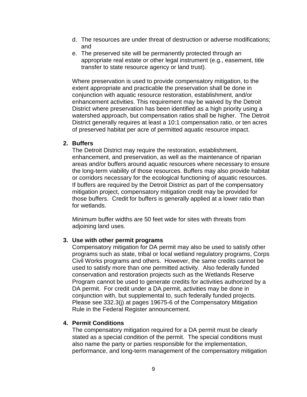- d. The resources are under threat of destruction or adverse modifications; and
- e. The preserved site will be permanently protected through an appropriate real estate or other legal instrument (e.g., easement, title transfer to state resource agency or land trust).

Where preservation is used to provide compensatory mitigation, to the extent appropriate and practicable the preservation shall be done in conjunction with aquatic resource restoration, establishment, and/or enhancement activities. This requirement may be waived by the Detroit District where preservation has been identified as a high priority using a watershed approach, but compensation ratios shall be higher. The Detroit District generally requires at least a 10:1 compensation ratio, or ten acres of preserved habitat per acre of permitted aquatic resource impact.

#### **2. Buffers**

The Detroit District may require the restoration, establishment, enhancement, and preservation, as well as the maintenance of riparian areas and/or buffers around aquatic resources where necessary to ensure the long-term viability of those resources. Buffers may also provide habitat or corridors necessary for the ecological functioning of aquatic resources. If buffers are required by the Detroit District as part of the compensatory mitigation project, compensatory mitigation credit may be provided for those buffers. Credit for buffers is generally applied at a lower ratio than for wetlands.

Minimum buffer widths are 50 feet wide for sites with threats from adjoining land uses.

#### **3. Use with other permit programs**

Compensatory mitigation for DA permit may also be used to satisfy other programs such as state, tribal or local wetland regulatory programs, Corps Civil Works programs and others. However, the same credits cannot be used to satisfy more than one permitted activity. Also federally funded conservation and restoration projects such as the Wetlands Reserve Program cannot be used to generate credits for activities authorized by a DA permit. For credit under a DA permit, activities may be done in conjunction with, but supplemental to, such federally funded projects. Please see 332.3(j) at pages 19675-6 of the Compensatory Mitigation Rule in the Federal Register announcement.

#### **4. Permit Conditions**

The compensatory mitigation required for a DA permit must be clearly stated as a special condition of the permit. The special conditions must also name the party or parties responsible for the implementation, performance, and long-term management of the compensatory mitigation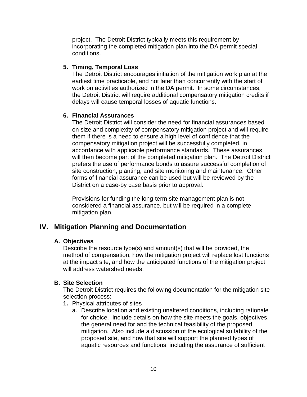project. The Detroit District typically meets this requirement by incorporating the completed mitigation plan into the DA permit special conditions.

#### **5. Timing, Temporal Loss**

The Detroit District encourages initiation of the mitigation work plan at the earliest time practicable, and not later than concurrently with the start of work on activities authorized in the DA permit. In some circumstances, the Detroit District will require additional compensatory mitigation credits if delays will cause temporal losses of aquatic functions.

#### **6. Financial Assurances**

The Detroit District will consider the need for financial assurances based on size and complexity of compensatory mitigation project and will require them if there is a need to ensure a high level of confidence that the compensatory mitigation project will be successfully completed, in accordance with applicable performance standards. These assurances will then become part of the completed mitigation plan. The Detroit District prefers the use of performance bonds to assure successful completion of site construction, planting, and site monitoring and maintenance. Other forms of financial assurance can be used but will be reviewed by the District on a case-by case basis prior to approval.

Provisions for funding the long-term site management plan is not considered a financial assurance, but will be required in a complete mitigation plan.

## **IV. Mitigation Planning and Documentation**

#### **A. Objectives**

Describe the resource type(s) and amount(s) that will be provided, the method of compensation, how the mitigation project will replace lost functions at the impact site, and how the anticipated functions of the mitigation project will address watershed needs.

#### **B. Site Selection**

The Detroit District requires the following documentation for the mitigation site selection process:

- **1.** Physical attributes of sites
	- a. Describe location and existing unaltered conditions, including rationale for choice. Include details on how the site meets the goals, objectives, the general need for and the technical feasibility of the proposed mitigation. Also include a discussion of the ecological suitability of the proposed site, and how that site will support the planned types of aquatic resources and functions, including the assurance of sufficient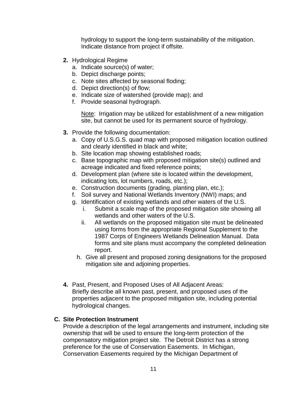hydrology to support the long-term sustainability of the mitigation. Indicate distance from project if offsite.

- **2.** Hydrological Regime
	- a. Indicate source(s) of water;
	- b. Depict discharge points;
	- c. Note sites affected by seasonal floding;
	- d. Depict direction(s) of flow;
	- e. Indicate size of watershed (provide map); and
	- f. Provide seasonal hydrograph.

Note: Irrigation may be utilized for establishment of a new mitigation site, but cannot be used for its permanent source of hydrology.

- **3.** Provide the following documentation:
	- a. Copy of U.S.G.S. quad map with proposed mitigation location outlined and clearly identified in black and white;
	- b. Site location map showing established roads;
	- c. Base topographic map with proposed mitigation site(s) outlined and acreage indicated and fixed reference points;
	- d. Development plan (where site is located within the development, indicating lots, lot numbers, roads, etc.);
	- e. Construction documents (grading, planting plan, etc.);
	- f. Soil survey and National Wetlands Inventory (NWI) maps; and
	- g. Identification of existing wetlands and other waters of the U.S.
		- i. Submit a scale map of the proposed mitigation site showing all wetlands and other waters of the U.S.
		- ii. All wetlands on the proposed mitigation site must be delineated using forms from the appropriate Regional Supplement to the 1987 Corps of Engineers Wetlands Delineation Manual. Data forms and site plans must accompany the completed delineation report.
		- h. Give all present and proposed zoning designations for the proposed mitigation site and adjoining properties.
- **4.** Past, Present, and Proposed Uses of All Adjacent Areas: Briefly describe all known past, present, and proposed uses of the properties adjacent to the proposed mitigation site, including potential hydrological changes.

#### **C. Site Protection Instrument**

Provide a description of the legal arrangements and instrument, including site ownership that will be used to ensure the long-term protection of the compensatory mitigation project site. The Detroit District has a strong preference for the use of Conservation Easements. In Michigan, Conservation Easements required by the Michigan Department of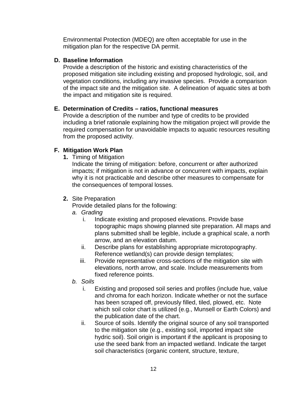Environmental Protection (MDEQ) are often acceptable for use in the mitigation plan for the respective DA permit.

#### **D. Baseline Information**

Provide a description of the historic and existing characteristics of the proposed mitigation site including existing and proposed hydrologic, soil, and vegetation conditions, including any invasive species. Provide a comparison of the impact site and the mitigation site. A delineation of aquatic sites at both the impact and mitigation site is required.

#### **E. Determination of Credits – ratios, functional measures**

Provide a description of the number and type of credits to be provided including a brief rationale explaining how the mitigation project will provide the required compensation for unavoidable impacts to aquatic resources resulting from the proposed activity.

#### **F. Mitigation Work Plan**

**1.** Timing of Mitigation

Indicate the timing of mitigation: before, concurrent or after authorized impacts; if mitigation is not in advance or concurrent with impacts, explain why it is not practicable and describe other measures to compensate for the consequences of temporal losses.

#### **2.** Site Preparation

Provide detailed plans for the following:

- *a. Grading*
	- i. Indicate existing and proposed elevations. Provide base topographic maps showing planned site preparation. All maps and plans submitted shall be legible, include a graphical scale, a north arrow, and an elevation datum.
	- ii. Describe plans for establishing appropriate microtopography. Reference wetland(s) can provide design templates;
	- iii. Provide representative cross-sections of the mitigation site with elevations, north arrow, and scale. Include measurements from fixed reference points.
- *b. Soils*
	- i. Existing and proposed soil series and profiles (include hue, value and chroma for each horizon. Indicate whether or not the surface has been scraped off, previously filled, tiled, plowed, etc. Note which soil color chart is utilized (e.g., Munsell or Earth Colors) and the publication date of the chart.
	- ii. Source of soils. Identify the original source of any soil transported to the mitigation site (e.g., existing soil, imported impact site hydric soil). Soil origin is important if the applicant is proposing to use the seed bank from an impacted wetland. Indicate the target soil characteristics (organic content, structure, texture,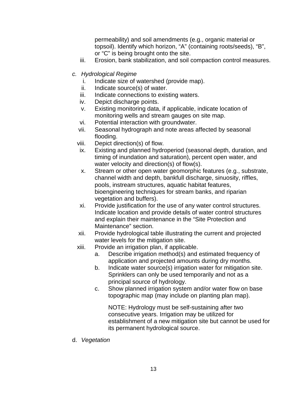permeability) and soil amendments (e.g., organic material or topsoil). Identify which horizon, "A" (containing roots/seeds), "B", or "C" is being brought onto the site.

- iii. Erosion, bank stabilization, and soil compaction control measures.
- *c. Hydrological Regime*
	- i. Indicate size of watershed (provide map).
	- ii. Indicate source(s) of water.
	- iii. Indicate connections to existing waters.
	- iv. Depict discharge points.
	- v. Existing monitoring data, if applicable, indicate location of monitoring wells and stream gauges on site map.
	- vi. Potential interaction with groundwater.
	- vii. Seasonal hydrograph and note areas affected by seasonal flooding.
	- viii. Depict direction(s) of flow.
	- ix. Existing and planned hydroperiod (seasonal depth, duration, and timing of inundation and saturation), percent open water, and water velocity and direction(s) of flow(s).
	- x. Stream or other open water geomorphic features (e.g., substrate, channel width and depth, bankfull discharge, sinuosity, riffles, pools, instream structures, aquatic habitat features, bioengineering techniques for stream banks, and riparian vegetation and buffers).
	- xi. Provide justification for the use of any water control structures. Indicate location and provide details of water control structures and explain their maintenance in the "Site Protection and Maintenance" section.
	- xii. Provide hydrological table illustrating the current and projected water levels for the mitigation site.
	- xiii. Provide an irrigation plan, if applicable.
		- a. Describe irrigation method(s) and estimated frequency of application and projected amounts during dry months.
		- b. Indicate water source(s) irrigation water for mitigation site. Sprinklers can only be used temporarily and not as a principal source of hydrology.
		- c. Show planned irrigation system and/or water flow on base topographic map (may include on planting plan map).

NOTE: Hydrology must be self-sustaining after two consecutive years. Irrigation may be utilized for establishment of a new mitigation site but cannot be used for its permanent hydrological source.

d. *Vegetation*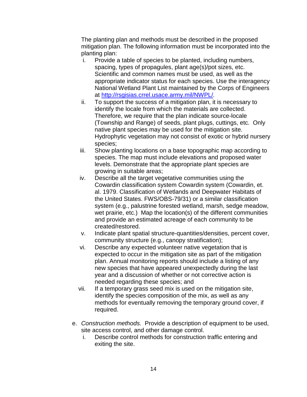The planting plan and methods must be described in the proposed mitigation plan. The following information must be incorporated into the planting plan:

- i. Provide a table of species to be planted, including numbers, spacing, types of propagules, plant age(s)/pot sizes, etc. Scientific and common names must be used, as well as the appropriate indicator status for each species. Use the interagency National Wetland Plant List maintained by the Corps of Engineers at<http://rsgisias.crrel.usace.army.mil/NWPL/>.
- ii. To support the success of a mitigation plan, it is necessary to identify the locale from which the materials are collected. Therefore, we require that the plan indicate source-locale (Township and Range) of seeds, plant plugs, cuttings, etc. Only native plant species may be used for the mitigation site. Hydrophytic vegetation may not consist of exotic or hybrid nursery species;
- iii. Show planting locations on a base topographic map according to species. The map must include elevations and proposed water levels. Demonstrate that the appropriate plant species are growing in suitable areas;
- iv. Describe all the target vegetative communities using the Cowardin classification system Cowardin system (Cowardin, et. al. 1979. Classification of Wetlands and Deepwater Habitats of the United States. FWS/OBS-79/31) or a similar classification system (e.g., palustrine forested wetland, marsh, sedge meadow, wet prairie, etc.) Map the location(s) of the different communities and provide an estimated acreage of each community to be created/restored.
- v. Indicate plant spatial structure-quantities/densities, percent cover, community structure (e.g., canopy stratification);
- vi. Describe any expected volunteer native vegetation that is expected to occur in the mitigation site as part of the mitigation plan. Annual monitoring reports should include a listing of any new species that have appeared unexpectedly during the last year and a discussion of whether or not corrective action is needed regarding these species; and
- vii. If a temporary grass seed mix is used on the mitigation site, identify the species composition of the mix, as well as any methods for eventually removing the temporary ground cover, if required.
- e. *Construction methods.* Provide a description of equipment to be used, site access control, and other damage control.
	- i. Describe control methods for construction traffic entering and exiting the site.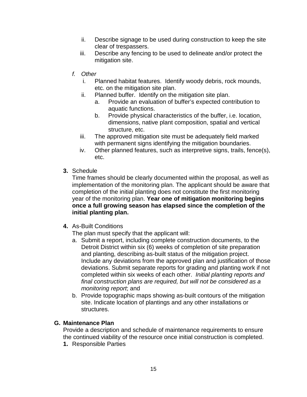- ii. Describe signage to be used during construction to keep the site clear of trespassers.
- iii. Describe any fencing to be used to delineate and/or protect the mitigation site.
- *f. Other*
	- i. Planned habitat features. Identify woody debris, rock mounds, etc. on the mitigation site plan.
	- ii. Planned buffer. Identify on the mitigation site plan.
		- a. Provide an evaluation of buffer's expected contribution to aquatic functions.
		- b. Provide physical characteristics of the buffer, i.e. location, dimensions, native plant composition, spatial and vertical structure, etc.
	- iii. The approved mitigation site must be adequately field marked with permanent signs identifying the mitigation boundaries.
	- iv. Other planned features, such as interpretive signs, trails, fence(s), etc.
- **3.** Schedule

Time frames should be clearly documented within the proposal, as well as implementation of the monitoring plan. The applicant should be aware that completion of the initial planting does not constitute the first monitoring year of the monitoring plan. **Year one of mitigation monitoring begins once a full growing season has elapsed since the completion of the initial planting plan.**

**4.** As-Built Conditions

The plan must specify that the applicant will:

- a. Submit a report, including complete construction documents, to the Detroit District within six (6) weeks of completion of site preparation and planting, describing as-built status of the mitigation project. Include any deviations from the approved plan and justification of those deviations. Submit separate reports for grading and planting work if not completed within six weeks of each other. *Initial planting reports and final construction plans are required, but will not be considered as a monitoring report*; and
- b. Provide topographic maps showing as-built contours of the mitigation site. Indicate location of plantings and any other installations or structures.

#### **G. Maintenance Plan**

Provide a description and schedule of maintenance requirements to ensure the continued viability of the resource once initial construction is completed.

**1.** Responsible Parties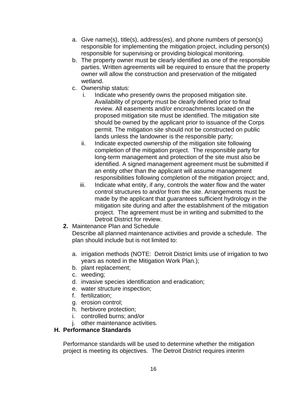- a. Give name(s), title(s), address(es), and phone numbers of person(s) responsible for implementing the mitigation project, including person(s) responsible for supervising or providing biological monitoring.
- b. The property owner must be clearly identified as one of the responsible parties. Written agreements will be required to ensure that the property owner will allow the construction and preservation of the mitigated wetland.
- c. Ownership status:
	- i. Indicate who presently owns the proposed mitigation site. Availability of property must be clearly defined prior to final review. All easements and/or encroachments located on the proposed mitigation site must be identified. The mitigation site should be owned by the applicant prior to issuance of the Corps permit. The mitigation site should not be constructed on public lands unless the landowner is the responsible party;
	- ii. Indicate expected ownership of the mitigation site following completion of the mitigation project. The responsible party for long-term management and protection of the site must also be identified. A signed management agreement must be submitted if an entity other than the applicant will assume management responsibilities following completion of the mitigation project; and,
	- iii. Indicate what entity, if any, controls the water flow and the water control structures to and/or from the site. Arrangements must be made by the applicant that guarantees sufficient hydrology in the mitigation site during and after the establishment of the mitigation project. The agreement must be in writing and submitted to the Detroit District for review.
- **2.** Maintenance Plan and Schedule

Describe all planned maintenance activities and provide a schedule. The plan should include but is not limited to:

- a. irrigation methods (NOTE: Detroit District limits use of irrigation to two years as noted in the Mitigation Work Plan.);
- b. plant replacement;
- c. weeding;
- d. invasive species identification and eradication;
- e. water structure inspection;
- f. fertilization;
- g. erosion control;
- h. herbivore protection;
- i. controlled burns; and/or
- j. other maintenance activities.

#### **H. Performance Standards**

Performance standards will be used to determine whether the mitigation project is meeting its objectives. The Detroit District requires interim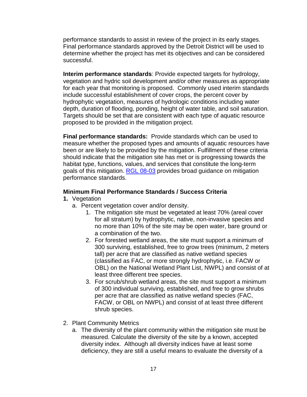performance standards to assist in review of the project in its early stages. Final performance standards approved by the Detroit District will be used to determine whether the project has met its objectives and can be considered successful.

**Interim performance standards**: Provide expected targets for hydrology, vegetation and hydric soil development and/or other measures as appropriate for each year that monitoring is proposed. Commonly used interim standards include successful establishment of cover crops, the percent cover by hydrophytic vegetation, measures of hydrologic conditions including water depth, duration of flooding, ponding, height of water table, and soil saturation. Targets should be set that are consistent with each type of aquatic resource proposed to be provided in the mitigation project.

**Final performance standards:** Provide standards which can be used to measure whether the proposed types and amounts of aquatic resources have been or are likely to be provided by the mitigation. Fulfillment of these criteria should indicate that the mitigation site has met or is progressing towards the habitat type, functions, values, and services that constitute the long-term goals of this mitigation. [RGL 08-03](http://www.usace.army.mil/Portals/2/docs/civilworks/RGLS/rgl08_03.pdf) provides broad guidance on mitigation performance standards.

#### **Minimum Final Performance Standards / Success Criteria**

- **1.** Vegetation
	- a. Percent vegetation cover and/or density.
		- 1. The mitigation site must be vegetated at least 70% (areal cover for all stratum) by hydrophytic, native, non-invasive species and no more than 10% of the site may be open water, bare ground or a combination of the two.
		- 2. For forested wetland areas, the site must support a minimum of 300 surviving, established, free to grow trees (minimum, 2 meters tall) per acre that are classified as native wetland species (classified as FAC, or more strongly hydrophytic, i.e. FACW or OBL) on the National Wetland Plant List, NWPL) and consist of at least three different tree species.
		- 3. For scrub/shrub wetland areas, the site must support a minimum of 300 individual surviving, established, and free to grow shrubs per acre that are classified as native wetland species (FAC, FACW, or OBL on NWPL) and consist of at least three different shrub species.
- 2. Plant Community Metrics
	- a. The diversity of the plant community within the mitigation site must be measured. Calculate the diversity of the site by a known, accepted diversity index. Although all diversity indices have at least some deficiency, they are still a useful means to evaluate the diversity of a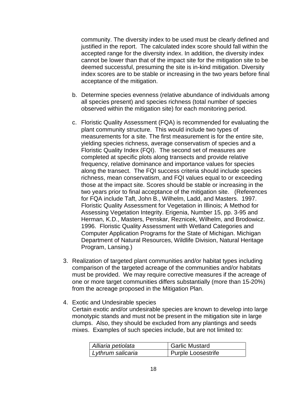community. The diversity index to be used must be clearly defined and justified in the report. The calculated index score should fall within the accepted range for the diversity index. In addition, the diversity index cannot be lower than that of the impact site for the mitigation site to be deemed successful, presuming the site is in-kind mitigation. Diversity index scores are to be stable or increasing in the two years before final acceptance of the mitigation.

- b. Determine species evenness (relative abundance of individuals among all species present) and species richness (total number of species observed within the mitigation site) for each monitoring period.
- c. Floristic Quality Assessment (FQA) is recommended for evaluating the plant community structure. This would include two types of measurements for a site. The first measurement is for the entire site, yielding species richness, average conservatism of species and a Floristic Quality Index (FQI). The second set of measures are completed at specific plots along transects and provide relative frequency, relative dominance and importance values for species along the transect. The FQI success criteria should include species richness, mean conservatism, and FQI values equal to or exceeding those at the impact site. Scores should be stable or increasing in the two years prior to final acceptance of the mitigation site. (References for FQA include Taft, John B., Wilhelm, Ladd, and Masters. 1997. Floristic Quality Assessment for Vegetation in Illinois; A Method for Assessing Vegetation Integrity. Erigenia, Number 15, pp. 3-95 and Herman, K.D., Masters, Penskar, Reznicek, Wilhelm, and Brodowicz. 1996. Floristic Quality Assessment with Wetland Categories and Computer Application Programs for the State of Michigan. Michigan Department of Natural Resources, Wildlife Division, Natural Heritage Program, Lansing.)
- 3. Realization of targeted plant communities and/or habitat types including comparison of the targeted acreage of the communities and/or habitats must be provided. We may require corrective measures if the acreage of one or more target communities differs substantially (more than 15-20%) from the acreage proposed in the Mitigation Plan.
- 4. Exotic and Undesirable species Certain exotic and/or undesirable species are known to develop into large monotypic stands and must not be present in the mitigation site in large clumps. Also, they should be excluded from any plantings and seeds mixes. Examples of such species include, but are not limited to:

| Alliaria petiolata | Garlic Mustard     |
|--------------------|--------------------|
| Lythrum salicaria  | Purple Loosestrife |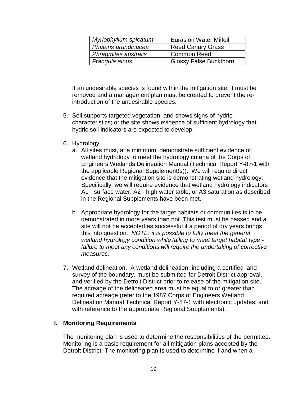| Myriophyllum spicatum | <b>Eurasion Water Milfoil</b> |
|-----------------------|-------------------------------|
| Phalaris arundinacea  | <b>Reed Canary Grass</b>      |
| Phragmites australis  | Common Reed                   |
| Frangula alnus        | <b>Glossy False Buckthorn</b> |

If an undesirable species is found within the mitigation site, it must be removed and a management plan must be created to prevent the reintroduction of the undesirable species.

- 5. Soil supports targeted vegetation, and shows signs of hydric characteristics; or the site shows evidence of sufficient hydrology that hydric soil indicators are expected to develop.
- 6. Hydrology
	- a. All sites must, at a minimum, demonstrate sufficient evidence of wetland hydrology to meet the hydrology criteria of the Corps of Engineers Wetlands Delineation Manual (Technical Report Y-87-1 with the applicable Regional Supplement(s)). We will require direct evidence that the mitigation site is demonstrating wetland hydrology. Specifically, we will require evidence that wetland hydrology indicators A1 - surface water, A2 - high water table, or A3 saturation as described in the Regional Supplements have been met.
	- b. Appropriate hydrology for the target habitats or communities is to be demonstrated in more years than not. This test must be passed and a site will not be accepted as successful if a period of dry years brings this into question. *NOTE: it is possible to fully meet the general wetland hydrology condition while failing to meet target habitat type failure to meet any conditions will require the undertaking of corrective measures.*
- 7. Wetland delineation. A wetland delineation, including a certified land survey of the boundary, must be submitted for Detroit District approval, and verified by the Detroit District prior to release of the mitigation site. The acreage of the delineated area must be equal to or greater than required acreage (refer to the 1987 Corps of Engineers Wetland Delineation Manual Technical Report Y-87-1 with electronic updates; and with reference to the appropriate Regional Supplements).

#### **I. Monitoring Requirements**

The monitoring plan is used to determine the responsibilities of the permittee. Monitoring is a basic requirement for all mitigation plans accepted by the Detroit District. The monitoring plan is used to determine if and when a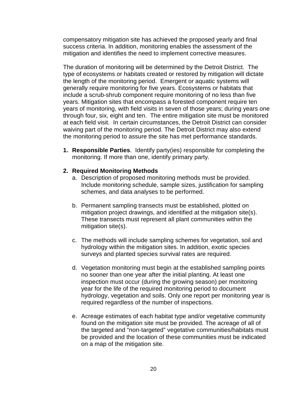compensatory mitigation site has achieved the proposed yearly and final success criteria. In addition, monitoring enables the assessment of the mitigation and identifies the need to implement corrective measures.

The duration of monitoring will be determined by the Detroit District. The type of ecosystems or habitats created or restored by mitigation will dictate the length of the monitoring period. Emergent or aquatic systems will generally require monitoring for five years. Ecosystems or habitats that include a scrub-shrub component require monitoring of no less than five years. Mitigation sites that encompass a forested component require ten years of monitoring, with field visits in seven of those years; during years one through four, six, eight and ten. The entire mitigation site must be monitored at each field visit. In certain circumstances, the Detroit District can consider waiving part of the monitoring period. The Detroit District may also extend the monitoring period to assure the site has met performance standards.

**1. Responsible Parties**. Identify party(ies) responsible for completing the monitoring. If more than one, identify primary party.

#### **2. Required Monitoring Methods**

- a. Description of proposed monitoring methods must be provided. Include monitoring schedule, sample sizes, justification for sampling schemes, and data analyses to be performed.
- b. Permanent sampling transects must be established, plotted on mitigation project drawings, and identified at the mitigation site(s). These transects must represent all plant communities within the mitigation site(s).
- c. The methods will include sampling schemes for vegetation, soil and hydrology within the mitigation sites. In addition, exotic species surveys and planted species survival rates are required.
- d. Vegetation monitoring must begin at the established sampling points no sooner than one year after the initial planting. At least one inspection must occur (during the growing season) per monitoring year for the life of the required monitoring period to document hydrology, vegetation and soils. Only one report per monitoring year is required regardless of the number of inspections.
- e. Acreage estimates of each habitat type and/or vegetative community found on the mitigation site must be provided. The acreage of all of the targeted and "non-targeted" vegetative communities/habitats must be provided and the location of these communities must be indicated on a map of the mitigation site.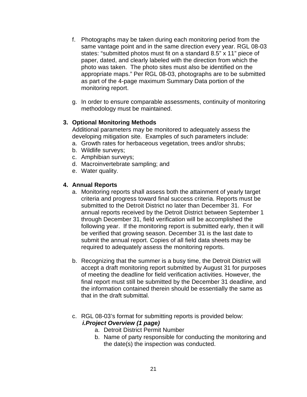- f. Photographs may be taken during each monitoring period from the same vantage point and in the same direction every year. RGL 08-03 states: "submitted photos must fit on a standard 8.5" x 11" piece of paper, dated, and clearly labeled with the direction from which the photo was taken. The photo sites must also be identified on the appropriate maps." Per RGL 08-03, photographs are to be submitted as part of the 4-page maximum Summary Data portion of the monitoring report.
- g. In order to ensure comparable assessments, continuity of monitoring methodology must be maintained.

#### **3. Optional Monitoring Methods**

Additional parameters may be monitored to adequately assess the developing mitigation site. Examples of such parameters include:

- a. Growth rates for herbaceous vegetation, trees and/or shrubs;
- b. Wildlife surveys;
- c. Amphibian surveys;
- d. Macroinvertebrate sampling; and
- e. Water quality.

#### **4. Annual Reports**

- a. Monitoring reports shall assess both the attainment of yearly target criteria and progress toward final success criteria. Reports must be submitted to the Detroit District no later than December 31. For annual reports received by the Detroit District between September 1 through December 31, field verification will be accomplished the following year. If the monitoring report is submitted early, then it will be verified that growing season. December 31 is the last date to submit the annual report. Copies of all field data sheets may be required to adequately assess the monitoring reports.
- b. Recognizing that the summer is a busy time, the Detroit District will accept a draft monitoring report submitted by August 31 for purposes of meeting the deadline for field verification activities. However, the final report must still be submitted by the December 31 deadline, and the information contained therein should be essentially the same as that in the draft submittal.
- c. RGL 08-03's format for submitting reports is provided below: *i.Project Overview (1 page)*
	- a. Detroit District Permit Number
	- b. Name of party responsible for conducting the monitoring and the date(s) the inspection was conducted.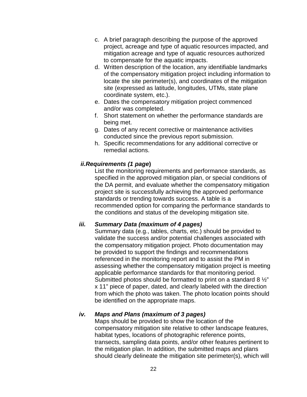- c. A brief paragraph describing the purpose of the approved project, acreage and type of aquatic resources impacted, and mitigation acreage and type of aquatic resources authorized to compensate for the aquatic impacts.
- d. Written description of the location, any identifiable landmarks of the compensatory mitigation project including information to locate the site perimeter(s), and coordinates of the mitigation site (expressed as latitude, longitudes, UTMs, state plane coordinate system, etc.).
- e. Dates the compensatory mitigation project commenced and/or was completed.
- f. Short statement on whether the performance standards are being met.
- g. Dates of any recent corrective or maintenance activities conducted since the previous report submission.
- h. Specific recommendations for any additional corrective or remedial actions.

#### *ii.Requirements (1 page***)**

List the monitoring requirements and performance standards, as specified in the approved mitigation plan, or special conditions of the DA permit, and evaluate whether the compensatory mitigation project site is successfully achieving the approved performance standards or trending towards success. A table is a recommended option for comparing the performance standards to the conditions and status of the developing mitigation site.

#### *iii. Summary Data (maximum of 4 pages)*

Summary data (e.g., tables, charts, etc.) should be provided to validate the success and/or potential challenges associated with the compensatory mitigation project. Photo documentation may be provided to support the findings and recommendations referenced in the monitoring report and to assist the PM in assessing whether the compensatory mitigation project is meeting applicable performance standards for that monitoring period. Submitted photos should be formatted to print on a standard 8 ½" x 11" piece of paper, dated, and clearly labeled with the direction from which the photo was taken. The photo location points should be identified on the appropriate maps.

### *iv. Maps and Plans (maximum of 3 pages)*

Maps should be provided to show the location of the compensatory mitigation site relative to other landscape features, habitat types, locations of photographic reference points, transects, sampling data points, and/or other features pertinent to the mitigation plan. In addition, the submitted maps and plans should clearly delineate the mitigation site perimeter(s), which will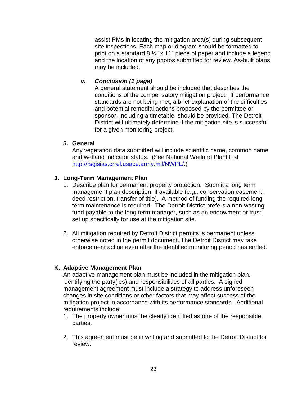assist PMs in locating the mitigation area(s) during subsequent site inspections. Each map or diagram should be formatted to print on a standard 8  $\frac{1}{2}$ " x 11" piece of paper and include a legend and the location of any photos submitted for review. As-built plans may be included.

#### *v. Conclusion (1 page)*

A general statement should be included that describes the conditions of the compensatory mitigation project. If performance standards are not being met, a brief explanation of the difficulties and potential remedial actions proposed by the permittee or sponsor, including a timetable, should be provided. The Detroit District will ultimately determine if the mitigation site is successful for a given monitoring project.

#### **5. General**

Any vegetation data submitted will include scientific name, common name and wetland indicator status. (See National Wetland Plant List [http://rsgisias.crrel.usace.army.mil/NWPL/.](http://rsgisias.crrel.usace.army.mil/NWPL/))

#### **J. Long-Term Management Plan**

- 1. Describe plan for permanent property protection. Submit a long term management plan description, if available (e.g., conservation easement, deed restriction, transfer of title). A method of funding the required long term maintenance is required. The Detroit District prefers a non-wasting fund payable to the long term manager, such as an endowment or trust set up specifically for use at the mitigation site.
- 2. All mitigation required by Detroit District permits is permanent unless otherwise noted in the permit document. The Detroit District may take enforcement action even after the identified monitoring period has ended.

#### **K. Adaptive Management Plan**

An adaptive management plan must be included in the mitigation plan, identifying the party(ies) and responsibilities of all parties. A signed management agreement must include a strategy to address unforeseen changes in site conditions or other factors that may affect success of the mitigation project in accordance with its performance standards. Additional requirements include:

- 1. The property owner must be clearly identified as one of the responsible parties.
- 2. This agreement must be in writing and submitted to the Detroit District for review.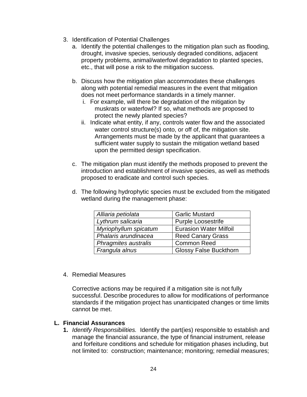- 3. Identification of Potential Challenges
	- a. Identify the potential challenges to the mitigation plan such as flooding, drought, invasive species, seriously degraded conditions, adjacent property problems, animal/waterfowl degradation to planted species, etc., that will pose a risk to the mitigation success.
	- b. Discuss how the mitigation plan accommodates these challenges along with potential remedial measures in the event that mitigation does not meet performance standards in a timely manner.
		- i. For example, will there be degradation of the mitigation by muskrats or waterfowl? If so, what methods are proposed to protect the newly planted species?
		- ii. Indicate what entity, if any, controls water flow and the associated water control structure(s) onto, or off of, the mitigation site. Arrangements must be made by the applicant that guarantees a sufficient water supply to sustain the mitigation wetland based upon the permitted design specification.
	- c. The mitigation plan must identify the methods proposed to prevent the introduction and establishment of invasive species, as well as methods proposed to eradicate and control such species.
	- d. The following hydrophytic species must be excluded from the mitigated wetland during the management phase:

| Alliaria petiolata    | <b>Garlic Mustard</b>         |
|-----------------------|-------------------------------|
| Lythrum salicaria     | <b>Purple Loosestrife</b>     |
| Myriophyllum spicatum | <b>Eurasion Water Milfoil</b> |
| Phalaris arundinacea  | <b>Reed Canary Grass</b>      |
| Phragmites australis  | <b>Common Reed</b>            |
| Frangula alnus        | <b>Glossy False Buckthorn</b> |

4. Remedial Measures

Corrective actions may be required if a mitigation site is not fully successful. Describe procedures to allow for modifications of performance standards if the mitigation project has unanticipated changes or time limits cannot be met.

#### **L. Financial Assurances**

**1.** *Identify Responsibilities.* Identify the part(ies) responsible to establish and manage the financial assurance, the type of financial instrument, release and forfeiture conditions and schedule for mitigation phases including, but not limited to: construction; maintenance; monitoring; remedial measures;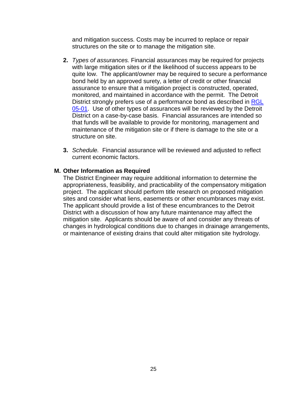and mitigation success. Costs may be incurred to replace or repair structures on the site or to manage the mitigation site.

- **2.** *Types of assurances.* Financial assurances may be required for projects with large mitigation sites or if the likelihood of success appears to be quite low. The applicant/owner may be required to secure a performance bond held by an approved surety, a letter of credit or other financial assurance to ensure that a mitigation project is constructed, operated, monitored, and maintained in accordance with the permit. The Detroit District strongly prefers use of a performance bond as described in [RGL](http://www.usace.army.mil/Portals/2/docs/civilworks/RGLS/rgl05_01.pdf)  [05-01.](http://www.usace.army.mil/Portals/2/docs/civilworks/RGLS/rgl05_01.pdf) Use of other types of assurances will be reviewed by the Detroit District on a case-by-case basis. Financial assurances are intended so that funds will be available to provide for monitoring, management and maintenance of the mitigation site or if there is damage to the site or a structure on site.
- **3.** *Schedule.* Financial assurance will be reviewed and adjusted to reflect current economic factors.

#### **M. Other Information as Required**

The District Engineer may require additional information to determine the appropriateness, feasibility, and practicability of the compensatory mitigation project. The applicant should perform title research on proposed mitigation sites and consider what liens, easements or other encumbrances may exist. The applicant should provide a list of these encumbrances to the Detroit District with a discussion of how any future maintenance may affect the mitigation site. Applicants should be aware of and consider any threats of changes in hydrological conditions due to changes in drainage arrangements, or maintenance of existing drains that could alter mitigation site hydrology.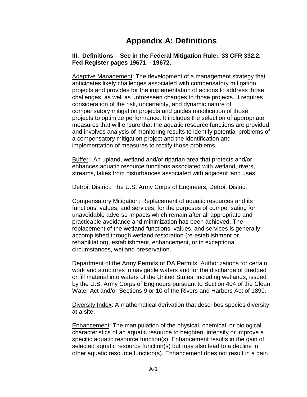# **Appendix A: Definitions**

#### **III. Definitions – See in the Federal Mitigation Rule: 33 CFR 332.2. Fed Register pages 19671 – 19672.**

Adaptive Management: The development of a management strategy that anticipates likely challenges associated with compensatory mitigation projects and provides for the implementation of actions to address those challenges, as well as unforeseen changes to those projects. It requires consideration of the risk, uncertainty, and dynamic nature of compensatory mitigation projects and guides modification of those projects to optimize performance. It includes the selection of appropriate measures that will ensure that the aquatic resource functions are provided and involves analysis of monitoring results to identify potential problems of a compensatory mitigation project and the identification and implementation of measures to rectify those problems.

Buffer: An upland, wetland and/or riparian area that protects and/or enhances aquatic resource functions associated with wetland, rivers, streams, lakes from disturbances associated with adjacent land uses.

Detroit District: The U.S. Army Corps of Engineers, Detroit District

Compensatory Mitigation: Replacement of aquatic resources and its functions, values, and services, for the purposes of compensating for unavoidable adverse impacts which remain after all appropriate and practicable avoidance and minimization has been achieved. The replacement of the wetland functions, values, and services is generally accomplished through wetland restoration (re-establishment or rehabilitation), establishment, enhancement, or in exceptional circumstances, wetland preservation.

Department of the Army Permits or DA Permits: Authorizations for certain work and structures in navigable waters and for the discharge of dredged or fill material into waters of the United States, including wetlands, issued by the U.S. Army Corps of Engineers pursuant to Section 404 of the Clean Water Act and/or Sections 9 or 10 of the Rivers and Harbors Act of 1899.

Diversity Index: A mathematical derivation that describes species diversity at a site.

Enhancement: The manipulation of the physical, chemical, or biological characteristics of an aquatic resource to heighten, intensify or improve a specific aquatic resource function(s). Enhancement results in the gain of selected aquatic resource function(s) but may also lead to a decline in other aquatic resource function(s). Enhancement does not result in a gain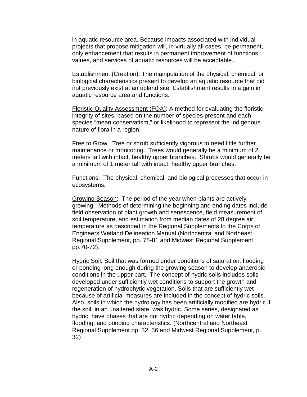in aquatic resource area. Because impacts associated with individual projects that propose mitigation will, in virtually all cases, be permanent, only enhancement that results in permanent improvement of functions, values, and services of aquatic resources will be acceptable. .

Establishment (Creation): The manipulation of the physical, chemical, or biological characteristics present to develop an aquatic resource that did not previously exist at an upland site. Establishment results in a gain in aquatic resource area and functions.

Floristic Quality Assessment (FQA): A method for evaluating the floristic integrity of sites, based on the number of species present and each species "mean conservatism," or likelihood to represent the indigenous nature of flora in a region.

Free to Grow: Tree or shrub sufficiently vigorous to need little further maintenance or monitoring. Trees would generally be a minimum of 2 meters tall with intact, healthy upper branches. Shrubs would generally be a minimum of 1 meter tall with intact, healthy upper branches.

Functions: The physical, chemical, and biological processes that occur in ecosystems.

Growing Season: The period of the year when plants are actively growing. Methods of determining the beginning and ending dates include field observation of plant growth and senescence, field measurement of soil temperature, and estimation from median dates of 28 degree air temperature as described in the Regional Supplements to the Corps of Engineers Wetland Delineation Manual (Northcentral and Northeast Regional Supplement, pp. 78-81 and Midwest Regional Supplement, pp.70-72).

Hydric Soil: Soil that was formed under conditions of saturation, flooding or ponding long enough during the growing season to develop anaerobic conditions in the upper part. The concept of hydric soils includes soils developed under sufficiently wet conditions to support the growth and regeneration of hydrophytic vegetation. Soils that are sufficiently wet because of artificial measures are included in the concept of hydric soils. Also, soils in which the hydrology has been artificially modified are hydric if the soil, in an unaltered state, was hydric. Some series, designated as hydric, have phases that are not hydric depending on water table, flooding, and ponding characteristics. (Northcentral and Northeast Regional Supplement pp. 32, 36 and Midwest Regional Supplement, p. 32)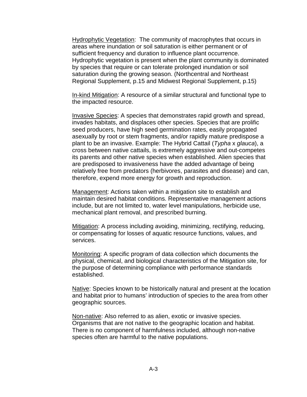Hydrophytic Vegetation: The community of macrophytes that occurs in areas where inundation or soil saturation is either permanent or of sufficient frequency and duration to influence plant occurrence. Hydrophytic vegetation is present when the plant community is dominated by species that require or can tolerate prolonged inundation or soil saturation during the growing season. (Northcentral and Northeast Regional Supplement, p.15 and Midwest Regional Supplement, p.15)

In-kind Mitigation: A resource of a similar structural and functional type to the impacted resource.

Invasive Species: A species that demonstrates rapid growth and spread, invades habitats, and displaces other species. Species that are prolific seed producers, have high seed germination rates, easily propagated asexually by root or stem fragments, and/or rapidly mature predispose a plant to be an invasive. Example: The Hybrid Cattail (*Typha* x *glauca*), a cross between native cattails, is extremely aggressive and out-competes its parents and other native species when established. Alien species that are predisposed to invasiveness have the added advantage of being relatively free from predators (herbivores, parasites and disease) and can, therefore, expend more energy for growth and reproduction.

Management: Actions taken within a mitigation site to establish and maintain desired habitat conditions. Representative management actions include, but are not limited to, water level manipulations, herbicide use, mechanical plant removal, and prescribed burning.

Mitigation: A process including avoiding, minimizing, rectifying, reducing, or compensating for losses of aquatic resource functions, values, and services.

Monitoring: A specific program of data collection which documents the physical, chemical, and biological characteristics of the Mitigation site, for the purpose of determining compliance with performance standards established.

Native: Species known to be historically natural and present at the location and habitat prior to humans' introduction of species to the area from other geographic sources.

Non-native: Also referred to as alien, exotic or invasive species. Organisms that are not native to the geographic location and habitat. There is no component of harmfulness included, although non-native species often are harmful to the native populations.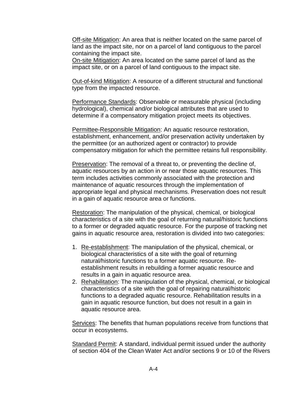Off-site Mitigation: An area that is neither located on the same parcel of land as the impact site, nor on a parcel of land contiguous to the parcel containing the impact site.

On-site Mitigation: An area located on the same parcel of land as the impact site, or on a parcel of land contiguous to the impact site.

Out-of-kind Mitigation: A resource of a different structural and functional type from the impacted resource.

Performance Standards: Observable or measurable physical (including hydrological), chemical and/or biological attributes that are used to determine if a compensatory mitigation project meets its objectives.

Permittee-Responsible Mitigation: An aquatic resource restoration, establishment, enhancement, and/or preservation activity undertaken by the permittee (or an authorized agent or contractor) to provide compensatory mitigation for which the permittee retains full responsibility.

Preservation: The removal of a threat to, or preventing the decline of, aquatic resources by an action in or near those aquatic resources. This term includes activities commonly associated with the protection and maintenance of aquatic resources through the implementation of appropriate legal and physical mechanisms. Preservation does not result in a gain of aquatic resource area or functions.

Restoration: The manipulation of the physical, chemical, or biological characteristics of a site with the goal of returning natural/historic functions to a former or degraded aquatic resource. For the purpose of tracking net gains in aquatic resource area, restoration is divided into two categories:

- 1. Re-establishment: The manipulation of the physical, chemical, or biological characteristics of a site with the goal of returning natural/historic functions to a former aquatic resource. Reestablishment results in rebuilding a former aquatic resource and results in a gain in aquatic resource area.
- 2. Rehabilitation: The manipulation of the physical, chemical, or biological characteristics of a site with the goal of repairing natural/historic functions to a degraded aquatic resource. Rehabilitation results in a gain in aquatic resource function, but does not result in a gain in aquatic resource area.

Services: The benefits that human populations receive from functions that occur in ecosystems.

Standard Permit: A standard, individual permit issued under the authority of section 404 of the Clean Water Act and/or sections 9 or 10 of the Rivers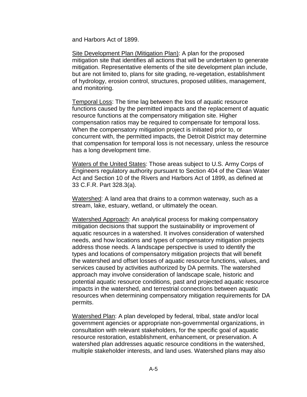and Harbors Act of 1899.

Site Development Plan (Mitigation Plan): A plan for the proposed mitigation site that identifies all actions that will be undertaken to generate mitigation. Representative elements of the site development plan include, but are not limited to, plans for site grading, re-vegetation, establishment of hydrology, erosion control, structures, proposed utilities, management, and monitoring.

Temporal Loss: The time lag between the loss of aquatic resource functions caused by the permitted impacts and the replacement of aquatic resource functions at the compensatory mitigation site. Higher compensation ratios may be required to compensate for temporal loss. When the compensatory mitigation project is initiated prior to, or concurrent with, the permitted impacts, the Detroit District may determine that compensation for temporal loss is not necessary, unless the resource has a long development time.

Waters of the United States: Those areas subject to U.S. Army Corps of Engineers regulatory authority pursuant to Section 404 of the Clean Water Act and Section 10 of the Rivers and Harbors Act of 1899, as defined at 33 C.F.R. Part 328.3(a).

Watershed: A land area that drains to a common waterway, such as a stream, lake, estuary, wetland, or ultimately the ocean.

Watershed Approach: An analytical process for making compensatory mitigation decisions that support the sustainability or improvement of aquatic resources in a watershed. It involves consideration of watershed needs, and how locations and types of compensatory mitigation projects address those needs. A landscape perspective is used to identify the types and locations of compensatory mitigation projects that will benefit the watershed and offset losses of aquatic resource functions, values, and services caused by activities authorized by DA permits. The watershed approach may involve consideration of landscape scale, historic and potential aquatic resource conditions, past and projected aquatic resource impacts in the watershed, and terrestrial connections between aquatic resources when determining compensatory mitigation requirements for DA permits.

Watershed Plan: A plan developed by federal, tribal, state and/or local government agencies or appropriate non-governmental organizations, in consultation with relevant stakeholders, for the specific goal of aquatic resource restoration, establishment, enhancement, or preservation. A watershed plan addresses aquatic resource conditions in the watershed, multiple stakeholder interests, and land uses. Watershed plans may also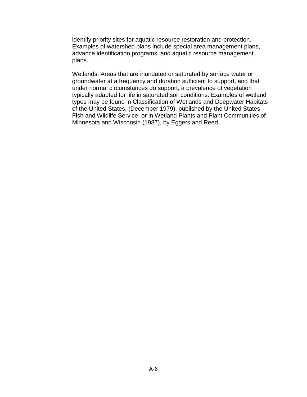identify priority sites for aquatic resource restoration and protection. Examples of watershed plans include special area management plans, advance identification programs, and aquatic resource management plans.

Wetlands: Areas that are inundated or saturated by surface water or groundwater at a frequency and duration sufficient to support, and that under normal circumstances do support, a prevalence of vegetation typically adapted for life in saturated soil conditions. Examples of wetland types may be found in Classification of Wetlands and Deepwater Habitats of the United States, (December 1979), published by the United States Fish and Wildlife Service, or in Wetland Plants and Plant Communities of Minnesota and Wisconsin (1987), by Eggers and Reed.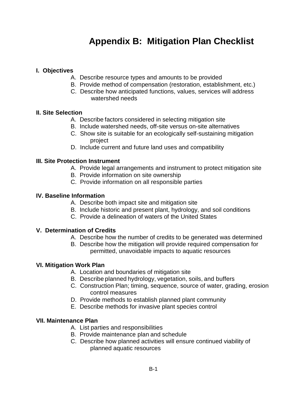# **Appendix B: Mitigation Plan Checklist**

#### **I. Objectives**

- A. Describe resource types and amounts to be provided
- B. Provide method of compensation (restoration, establishment, etc.)
- C. Describe how anticipated functions, values, services will address watershed needs

#### **II. Site Selection**

- A. Describe factors considered in selecting mitigation site
- B. Include watershed needs, off-site versus on-site alternatives
- C. Show site is suitable for an ecologically self-sustaining mitigation project
- D. Include current and future land uses and compatibility

#### **III. Site Protection Instrument**

- A. Provide legal arrangements and instrument to protect mitigation site
- B. Provide information on site ownership
- C. Provide information on all responsible parties

#### **IV. Baseline Information**

- A. Describe both impact site and mitigation site
- B. Include historic and present plant, hydrology, and soil conditions
- C. Provide a delineation of waters of the United States

#### **V. Determination of Credits**

- A. Describe how the number of credits to be generated was determined
- B. Describe how the mitigation will provide required compensation for permitted, unavoidable impacts to aquatic resources

#### **VI. Mitigation Work Plan**

- A. Location and boundaries of mitigation site
- B. Describe planned hydrology, vegetation, soils, and buffers
- C. Construction Plan; timing, sequence, source of water, grading, erosion control measures
- D. Provide methods to establish planned plant community
- E. Describe methods for invasive plant species control

#### **VII. Maintenance Plan**

- A. List parties and responsibilities
- B. Provide maintenance plan and schedule
- C. Describe how planned activities will ensure continued viability of planned aquatic resources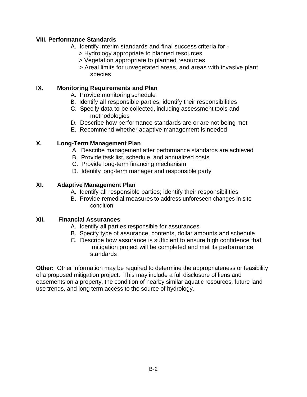#### **VIII. Performance Standards**

- A. Identify interim standards and final success criteria for
	- > Hydrology appropriate to planned resources
	- > Vegetation appropriate to planned resources
	- > Areal limits for unvegetated areas, and areas with invasive plant species

#### **IX. Monitoring Requirements and Plan**

- A. Provide monitoring schedule
- B. Identify all responsible parties; identify their responsibilities
- C. Specify data to be collected, including assessment tools and methodologies
- D. Describe how performance standards are or are not being met
- E. Recommend whether adaptive management is needed

#### **X. Long-Term Management Plan**

- A. Describe management after performance standards are achieved
- B. Provide task list, schedule, and annualized costs
- C. Provide long-term financing mechanism
- D. Identify long-term manager and responsible party

#### **XI. Adaptive Management Plan**

- A. Identify all responsible parties; identify their responsibilities
- B. Provide remedial measures to address unforeseen changes in site condition

#### **XII. Financial Assurances**

- A. Identify all parties responsible for assurances
- B. Specify type of assurance, contents, dollar amounts and schedule
- C. Describe how assurance is sufficient to ensure high confidence that mitigation project will be completed and met its performance standards

**Other:** Other information may be required to determine the appropriateness or feasibility of a proposed mitigation project. This may include a full disclosure of liens and easements on a property, the condition of nearby similar aquatic resources, future land use trends, and long term access to the source of hydrology.